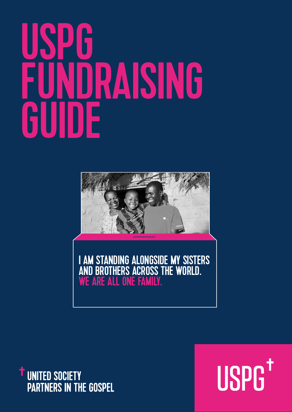# USPG FUNDRAISING<br>GUIDE GuidE



I AM STANDING ALONGSIDE MY SISTERS AND BROTHERS ACROSS THE WORLD.<br>WE ARE ALL ONE FAMILY.



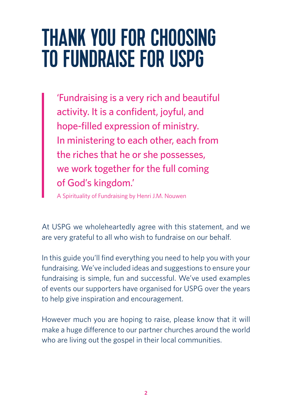### Thank you for choosing to fundraise for USPG

'Fundraising is a very rich and beautiful activity. It is a confident, joyful, and hope-filled expression of ministry. In ministering to each other, each from the riches that he or she possesses, we work together for the full coming of God's kingdom.'

A Spirituality of Fundraising by Henri J.M. Nouwen

At USPG we wholeheartedly agree with this statement, and we are very grateful to all who wish to fundraise on our behalf.

In this guide you'll find everything you need to help you with your fundraising. We've included ideas and suggestions to ensure your fundraising is simple, fun and successful. We've used examples of events our supporters have organised for USPG over the years to help give inspiration and encouragement.

However much you are hoping to raise, please know that it will make a huge difference to our partner churches around the world who are living out the gospel in their local communities.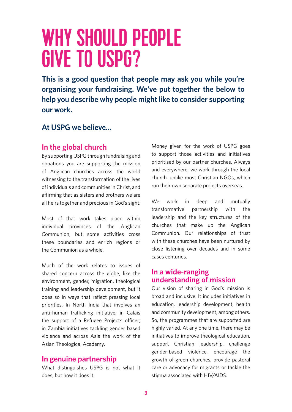### WHY SHOULD PEOPLE give to USPG?

**This is a good question that people may ask you while you're organising your fundraising. We've put together the below to help you describe why people might like to consider supporting our work.**

#### **At USPG we believe...**

#### **In the global church**

By supporting USPG through fundraising and donations you are supporting the mission of Anglican churches across the world witnessing to the transformation of the lives of individuals and communities in Christ, and affirming that as sisters and brothers we are all heirs together and precious in God's sight.

Most of that work takes place within individual provinces of the Anglican Communion, but some activities cross these boundaries and enrich regions or the Communion as a whole.

Much of the work relates to issues of shared concern across the globe, like the environment, gender, migration, theological training and leadership development, but it does so in ways that reflect pressing local priorities. In North India that involves an anti-human trafficking initiative; in Calais the support of a Refugee Projects officer; in Zambia initiatives tackling gender based violence and across Asia the work of the Asian Theological Academy.

#### **In genuine partnership**

What distinguishes USPG is not what it does, but how it does it.

Money given for the work of USPG goes to support those activities and initiatives prioritised by our partner churches. Always and everywhere, we work through the local church, unlike most Christian NGOs, which run their own separate projects overseas.

We work in deep and mutually transformative partnership with the leadership and the key structures of the churches that make up the Anglican Communion. Our relationships of trust with these churches have been nurtured by close listening over decades and in some cases centuries.

#### **In a wide-ranging understanding of mission**

Our vision of sharing in God's mission is broad and inclusive. It includes initiatives in education, leadership development, health and community development, among others. So, the programmes that are supported are highly varied. At any one time, there may be initiatives to improve theological education, support Christian leadership, challenge gender-based violence, encourage the growth of green churches, provide pastoral care or advocacy for migrants or tackle the stigma associated with HIV/AIDS.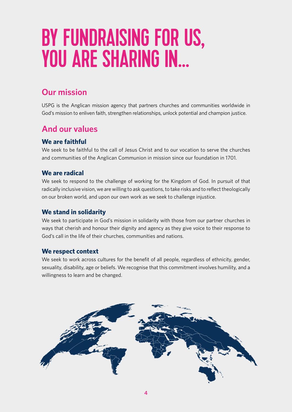## BY FUNDRAISING FOR US, you are sharing in…

### **Our mission**

USPG is the Anglican mission agency that partners churches and communities worldwide in God's mission to enliven faith, strengthen relationships, unlock potential and champion justice.

### **And our values**

### **We are faithful**

We seek to be faithful to the call of Jesus Christ and to our vocation to serve the churches and communities of the Anglican Communion in mission since our foundation in 1701.

#### **We are radical**

We seek to respond to the challenge of working for the Kingdom of God. In pursuit of that radically inclusive vision, we are willing to ask questions, to take risks and to reflect theologically on our broken world, and upon our own work as we seek to challenge injustice.

#### **We stand in solidarity**

We seek to participate in God's mission in solidarity with those from our partner churches in ways that cherish and honour their dignity and agency as they give voice to their response to God's call in the life of their churches, communities and nations.

#### **We respect context**

We seek to work across cultures for the benefit of all people, regardless of ethnicity, gender, sexuality, disability, age or beliefs. We recognise that this commitment involves humility, and a willingness to learn and be changed.

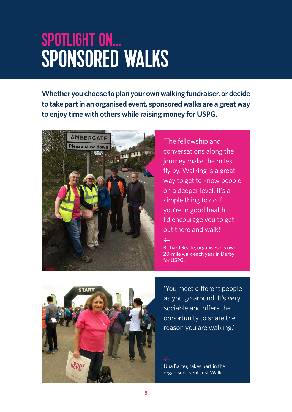### Spotlight on… SPONSORED WALK

**Whether you choose to plan your own walking fundraiser, or decide to take part in an organised event, sponsored walks are a great way to enjoy time with others while raising money for USPG.**



'The fellowship and conversations along the journey make the miles fly by. Walking is a great way to get to know people on a deeper level. It's a simple thing to do if you're in good health. I'd encourage you to get out there and walk!'

Richard Reade, organises his own 20-mile walk each year in Derby for USPG.

 $\leftarrow$ 



'You meet different people as you go around. It's very sociable and offers the opportunity to share the reason you are walking.'

Una Barter, takes part in the organised event Just Walk.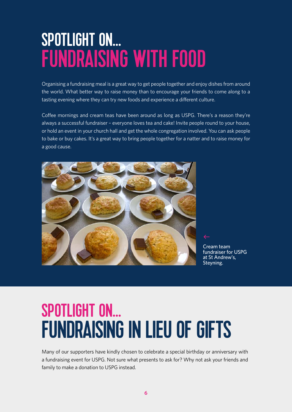### Spotlight on… Fundraising with food

Organising a fundraising meal is a great way to get people together and enjoy dishes from around the world. What better way to raise money than to encourage your friends to come along to a tasting evening where they can try new foods and experience a different culture.

Coffee mornings and cream teas have been around as long as USPG. There's a reason they're always a successful fundraiser – everyone loves tea and cake! Invite people round to your house, or hold an event in your church hall and get the whole congregation involved. You can ask people to bake or buy cakes. It's a great way to bring people together for a natter and to raise money for a good cause.



Cream team fundraiser for USPG at St Andrew's, Steyning.

### Spotlight on… **FUNDRAISING IN LIEU OF GIFTS**

Many of our supporters have kindly chosen to celebrate a special birthday or anniversary with a fundraising event for USPG. Not sure what presents to ask for? Why not ask your friends and family to make a donation to USPG instead.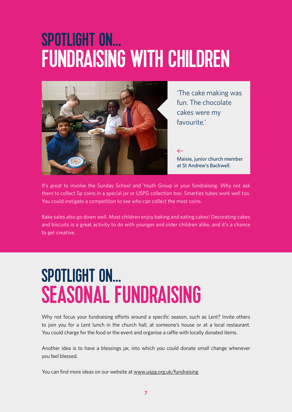### Spotlight on… **FUNDRAISING WITH CHILDREN**



'The cake making was fun. The chocolate cakes were my favourite.'

#### $\leftarrow$

Maisie, junior church member at St Andrew's Backwell.

It's great to involve the Sunday School and Youth Group in your fundraising. Why not ask them to collect 5p coins in a special jar or USPG collection box. Smarties tubes work well too. You could instigate a competition to see who can collect the most coins.

Bake sales also go down well. Most children enjoy baking and eating cakes! Decorating cakes and biscuits is a great activity to do with younger and older children alike, and it's a chance to get creative.

### Spotlight on… SEASONAL FUNDRAISING

Why not focus your fundraising efforts around a specific season, such as Lent? Invite others to join you for a Lent lunch in the church hall, at someone's house or at a local restaurant. You could charge for the food or the event and organise a raffle with locally donated items.

Another idea is to have a blessings jar, into which you could donate small change whenever you feel blessed.

You can find more ideas on our website at www.uspg.org.uk/fundraising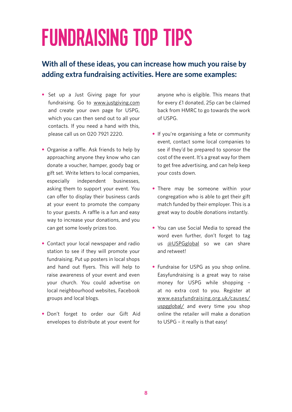# Fundraising Top Tips

### **With all of these ideas, you can increase how much you raise by adding extra fundraising activities. Here are some examples:**

- Set up a Just Giving page for your fundraising. Go to www.justgiving.com and create your own page for USPG, which you can then send out to all your contacts. If you need a hand with this, please call us on 020 7921 2220.
- Organise a raffle. Ask friends to help by approaching anyone they know who can donate a voucher, hamper, goody bag or gift set. Write letters to local companies, especially independent businesses, asking them to support your event. You can offer to display their business cards at your event to promote the company to your guests. A raffle is a fun and easy way to increase your donations, and you can get some lovely prizes too.
- Contact your local newspaper and radio station to see if they will promote your fundraising. Put up posters in local shops and hand out flyers. This will help to raise awareness of your event and even your church. You could advertise on local neighbourhood websites, Facebook groups and local blogs.
- Don't forget to order our Gift Aid envelopes to distribute at your event for

anyone who is eligible. This means that for every £1 donated, 25p can be claimed back from HMRC to go towards the work of USPG.

- If you're organising a fete or community event, contact some local companies to see if they'd be prepared to sponsor the cost of the event. It's a great way for them to get free advertising, and can help keep your costs down.
- There may be someone within your congregation who is able to get their gift match funded by their employer. This is a great way to double donations instantly.
- You can use Social Media to spread the word even further, don't forget to tag us @USPGglobal so we can share and retweet!
- Fundraise for USPG as you shop online. Easyfundraising is a great way to raise money for USPG while shopping – at no extra cost to you. Register at www.easyfundraising.org.uk/causes/ uspgglobal/ and every time you shop online the retailer will make a donation to USPG – it really is that easy!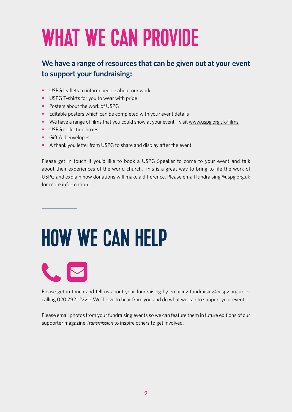# WHAT WE CAN PROVIDE

### **We have a range of resources that can be given out at your event to support your fundraising:**

- USPG leaflets to inform people about our work
- USPG T-shirts for you to wear with pride
- Posters about the work of USPG
- Editable posters which can be completed with your event details
- We have a range of films that you could show at your event visit www.uspg.org.uk/films
- USPG collection boxes
- Gift Aid envelopes
- A thank you letter from USPG to share and display after the event

Please get in touch if you'd like to book a USPG Speaker to come to your event and talk about their experiences of the world church. This is a great way to bring to life the work of USPG and explain how donations will make a difference. Please email fundraising@uspg.org.uk for more information.

# How we can help

**CONTRACTOR** 

Please get in touch and tell us about your fundraising by emailing fundraising@uspg.org.uk or calling 020 7921 2220. We'd love to hear from you and do what we can to support your event.

Please email photos from your fundraising events so we can feature them in future editions of our supporter magazine *Transmission* to inspire others to get involved.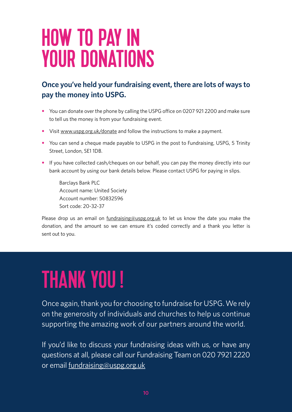### How to pay in YOUR DONATIONS

### **Once you've held your fundraising event, there are lots of ways to pay the money into USPG.**

- You can donate over the phone by calling the USPG office on 0207 921 2200 and make sure to tell us the money is from your fundraising event.
- Visit www.uspg.org.uk/donate and follow the instructions to make a payment.
- You can send a cheque made payable to USPG in the post to Fundraising, USPG, 5 Trinity Street, London, SE1 1DB.
- If you have collected cash/cheques on our behalf, you can pay the money directly into our bank account by using our bank details below. Please contact USPG for paying in slips.

Barclays Bank PLC Account name: United Society Account number: 50832596 Sort code: 20-32-37

Please drop us an email on  $fundraising@uspg.org.uk$  to let us know the date you make the donation, and the amount so we can ensure it's coded correctly and a thank you letter is sent out to you.

# Thank you !

Once again, thank you for choosing to fundraise for USPG. We rely on the generosity of individuals and churches to help us continue supporting the amazing work of our partners around the world.

If you'd like to discuss your fundraising ideas with us, or have any questions at all, please call our Fundraising Team on 020 7921 2220 or email fundraising@uspg.org.uk